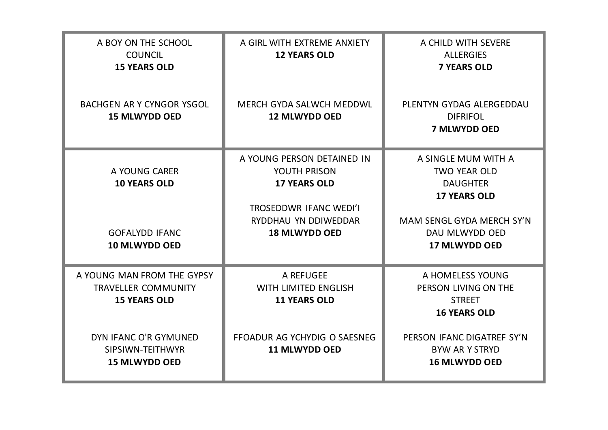| A BOY ON THE SCHOOL<br><b>COUNCIL</b><br><b>15 YEARS OLD</b>                          | A GIRL WITH EXTREME ANXIETY<br><b>12 YEARS OLD</b>                                                                                                 | A CHILD WITH SEVERE<br><b>ALLERGIES</b><br><b>7 YEARS OLD</b>                                                                                               |
|---------------------------------------------------------------------------------------|----------------------------------------------------------------------------------------------------------------------------------------------------|-------------------------------------------------------------------------------------------------------------------------------------------------------------|
| <b>BACHGEN AR Y CYNGOR YSGOL</b><br><b>15 MLWYDD OED</b>                              | MERCH GYDA SALWCH MEDDWL<br><b>12 MLWYDD OED</b>                                                                                                   | PLENTYN GYDAG ALERGEDDAU<br><b>DIFRIFOL</b><br><b>7 MLWYDD OED</b>                                                                                          |
| A YOUNG CARER<br><b>10 YEARS OLD</b><br><b>GOFALYDD IFANC</b><br><b>10 MLWYDD OED</b> | A YOUNG PERSON DETAINED IN<br>YOUTH PRISON<br><b>17 YEARS OLD</b><br><b>TROSEDDWR IFANC WEDI'I</b><br>RYDDHAU YN DDIWEDDAR<br><b>18 MLWYDD OED</b> | A SINGLE MUM WITH A<br><b>TWO YEAR OLD</b><br><b>DAUGHTER</b><br><b>17 YEARS OLD</b><br>MAM SENGL GYDA MERCH SY'N<br>DAU MLWYDD OED<br><b>17 MLWYDD OED</b> |
| A YOUNG MAN FROM THE GYPSY<br><b>TRAVELLER COMMUNITY</b><br><b>15 YEARS OLD</b>       | A REFUGEE<br>WITH LIMITED ENGLISH<br><b>11 YEARS OLD</b>                                                                                           | A HOMELESS YOUNG<br>PERSON LIVING ON THE<br><b>STREET</b><br><b>16 YEARS OLD</b>                                                                            |
| DYN IFANC O'R GYMUNED<br>SIPSIWN-TEITHWYR<br><b>15 MLWYDD OED</b>                     | FFOADUR AG YCHYDIG O SAESNEG<br><b>11 MLWYDD OED</b>                                                                                               | PERSON IFANC DIGATREF SY'N<br><b>BYW AR Y STRYD</b><br><b>16 MLWYDD OED</b>                                                                                 |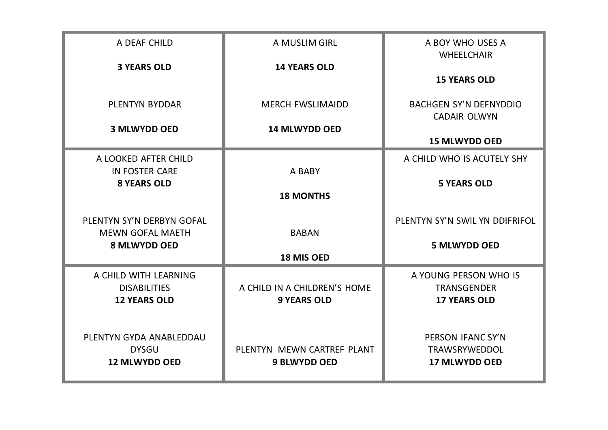| A DEAF CHILD                                                        | A MUSLIM GIRL                                      | A BOY WHO USES A<br><b>WHEELCHAIR</b>                              |
|---------------------------------------------------------------------|----------------------------------------------------|--------------------------------------------------------------------|
| <b>3 YEARS OLD</b>                                                  | <b>14 YEARS OLD</b>                                | <b>15 YEARS OLD</b>                                                |
| PLENTYN BYDDAR                                                      | <b>MERCH FWSLIMAIDD</b>                            | <b>BACHGEN SY'N DEFNYDDIO</b><br><b>CADAIR OLWYN</b>               |
| <b>3 MLWYDD OED</b>                                                 | <b>14 MLWYDD OED</b>                               | <b>15 MLWYDD OED</b>                                               |
| A LOOKED AFTER CHILD                                                |                                                    | A CHILD WHO IS ACUTELY SHY                                         |
| <b>IN FOSTER CARE</b><br><b>8 YEARS OLD</b>                         | A BABY<br><b>18 MONTHS</b>                         | <b>5 YEARS OLD</b>                                                 |
| PLENTYN SY'N DERBYN GOFAL<br><b>MEWN GOFAL MAETH</b>                | <b>BABAN</b>                                       | PLENTYN SY'N SWIL YN DDIFRIFOL                                     |
| <b>8 MLWYDD OED</b>                                                 | <b>18 MIS OED</b>                                  | <b>5 MLWYDD OED</b>                                                |
| A CHILD WITH LEARNING<br><b>DISABILITIES</b><br><b>12 YEARS OLD</b> | A CHILD IN A CHILDREN'S HOME<br><b>9 YEARS OLD</b> | A YOUNG PERSON WHO IS<br><b>TRANSGENDER</b><br><b>17 YEARS OLD</b> |
| PLENTYN GYDA ANABLEDDAU<br><b>DYSGU</b><br><b>12 MLWYDD OED</b>     | PLENTYN MEWN CARTREF PLANT<br><b>9 BLWYDD OED</b>  | PERSON IFANC SY'N<br>TRAWSRYWEDDOL<br><b>17 MLWYDD OED</b>         |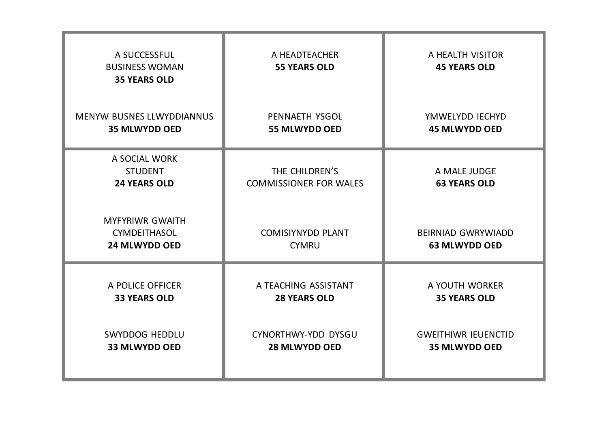| A SUCCESSFUL<br><b>BUSINESS WOMAN</b><br><b>35 YEARS OLD</b>          | A HEADTEACHER<br><b>55 YEARS OLD</b>            | A HEALTH VISITOR<br><b>45 YEARS OLD</b>           |
|-----------------------------------------------------------------------|-------------------------------------------------|---------------------------------------------------|
| <b>MENYW BUSNES LLWYDDIANNUS</b>                                      | PENNAETH YSGOL                                  | YMWELYDD IECHYD                                   |
| <b>35 MLWYDD OED</b>                                                  | <b>55 MLWYDD OED</b>                            | <b>45 MLWYDD OED</b>                              |
| A SOCIAL WORK<br><b>STUDENT</b><br><b>24 YEARS OLD</b>                | THE CHILDREN'S<br><b>COMMISSIONER FOR WALES</b> | A MALE JUDGE<br><b>63 YEARS OLD</b>               |
| <b>MYFYRIWR GWAITH</b><br><b>CYMDEITHASOL</b><br><b>24 MLWYDD OED</b> | <b>COMISIYNYDD PLANT</b><br><b>CYMRU</b>        | <b>BEIRNIAD GWRYWIADD</b><br><b>63 MLWYDD OED</b> |
| A POLICE OFFICER                                                      | A TEACHING ASSISTANT                            | A YOUTH WORKER                                    |
| <b>33 YEARS OLD</b>                                                   | <b>28 YEARS OLD</b>                             | <b>35 YEARS OLD</b>                               |
| <b>SWYDDOG HEDDLU</b>                                                 | CYNORTHWY-YDD DYSGU                             | <b>GWEITHIWR IEUENCTID</b>                        |
| <b>33 MLWYDD OED</b>                                                  | <b>28 MLWYDD OED</b>                            | <b>35 MLWYDD OED</b>                              |